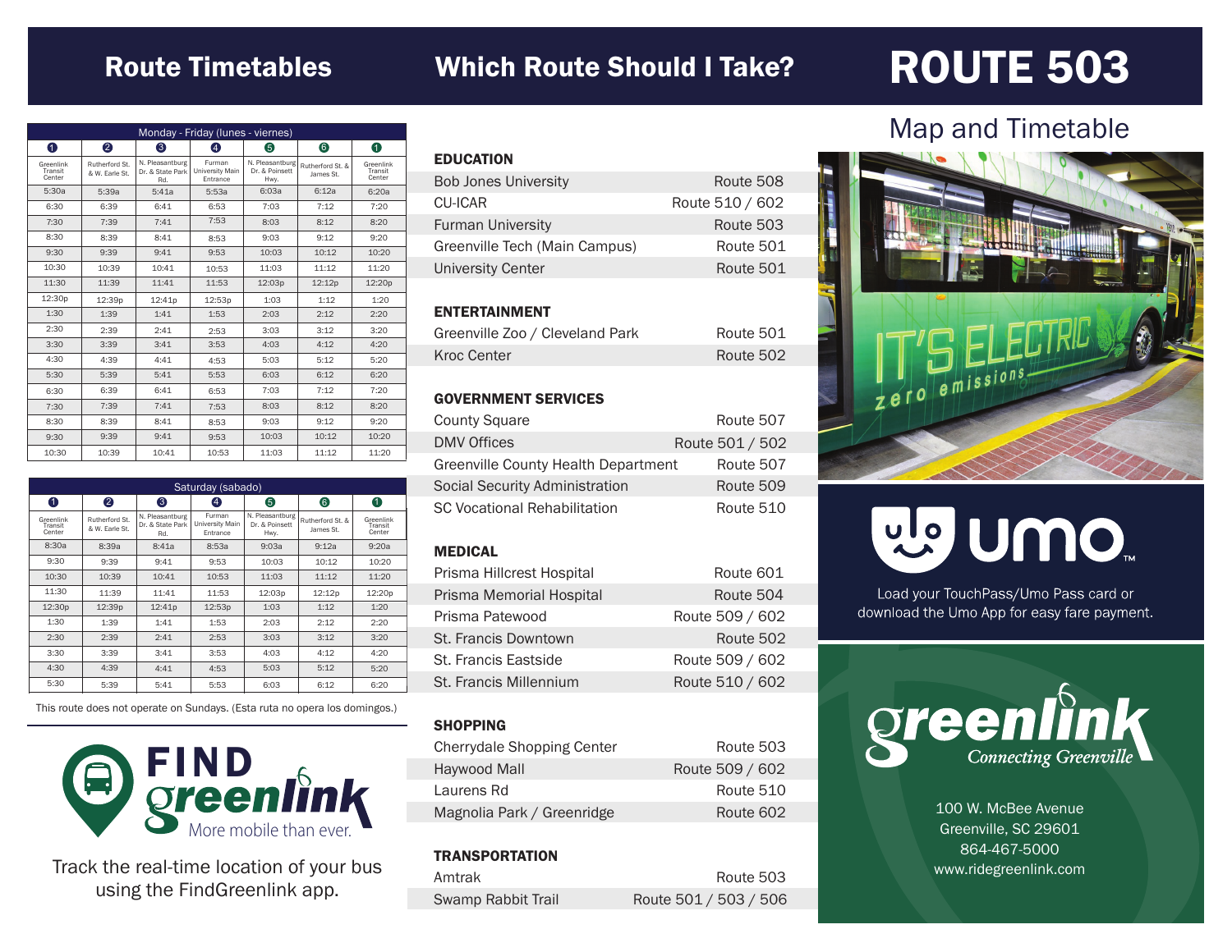### Route Timetables Which Route Should I Take?

## ROUTE 503

| Monday - Friday (lunes - viernes) |                                  |                                            |                                       |                                           |                               |                                |
|-----------------------------------|----------------------------------|--------------------------------------------|---------------------------------------|-------------------------------------------|-------------------------------|--------------------------------|
| 0                                 | 2                                | 6                                          | A                                     | 6                                         | 6                             | 0                              |
| Greenlink<br>Transit<br>Center    | Rutherford St.<br>& W. Farle St. | N. Pleasantburg<br>Dr. & State Park<br>Rd. | Furman<br>University Main<br>Entrance | N. Pleasantburg<br>Dr. & Poinsett<br>Hwy. | Rutherford St. &<br>James St. | Greenlink<br>Transit<br>Center |
| 5:30a                             | 5:39a                            | 5:41a                                      | 5:53a                                 | 6:0.3a                                    | 6:12a                         | 6:20a                          |
| 6:30                              | 6:39                             | 6:41                                       | 6:53                                  | 7:03                                      | 7:12                          | 7:20                           |
| 7:30                              | 7:39                             | 7:41                                       | 7:53                                  | 8:03                                      | 8:12                          | 8:20                           |
| 8:30                              | 8:39                             | 8:41                                       | 8:53                                  | 9:03                                      | 9:12                          | 9:20                           |
| 9:30                              | 9:39                             | 9:41                                       | 9:53                                  | 10:03                                     | 10:12                         | 10:20                          |
| 10:30                             | 10:39                            | 10:41                                      | 10:53                                 | 11:03                                     | 11:12                         | 11:20                          |
| 11:30                             | 11:39                            | 11:41                                      | 11:53                                 | 12:03p                                    | 12:12p                        | 12:20p                         |
| 12:30p                            | 12:39p                           | 12:41p                                     | 12:53p                                | 1:03                                      | 1:12                          | 1:20                           |
| 1:30                              | 1:39                             | 1:41                                       | 1:53                                  | 2:03                                      | 2:12                          | 2:20                           |
| 2:30                              | 2:39                             | 2:41                                       | 2:53                                  | 3:03                                      | 3:12                          | 3:20                           |
| 3:30                              | 3:39                             | 3:41                                       | 3:53                                  | 4:03                                      | 4:12                          | 4:20                           |
| 4:30                              | 4:39                             | 4:41                                       | 4:53                                  | 5:03                                      | 5:12                          | 5:20                           |
| 5:30                              | 5:39                             | 5:41                                       | 5:53                                  | 6:03                                      | 6:12                          | 6:20                           |
| 6:30                              | 6:39                             | 6:41                                       | 6:53                                  | 7:03                                      | 7:12                          | 7:20                           |
| 7:30                              | 7:39                             | 7:41                                       | 7:53                                  | 8:03                                      | 8:12                          | 8:20                           |
| 8:30                              | 8:39                             | 8:41                                       | 8:53                                  | 9:03                                      | 9:12                          | 9:20                           |
| 9:30                              | 9:39                             | 9:41                                       | 9:53                                  | 10:03                                     | 10:12                         | 10:20                          |
| 10:30                             | 10:39                            | 10:41                                      | 10:53                                 | 11:03                                     | 11:12                         | 11:20                          |

| Saturday (sabado)              |                                  |                                            |                                       |                                           |                               |                                |
|--------------------------------|----------------------------------|--------------------------------------------|---------------------------------------|-------------------------------------------|-------------------------------|--------------------------------|
| 0                              | 2                                | 3                                          | 4                                     | 6                                         | 6                             | 0                              |
| Greenlink<br>Transit<br>Center | Rutherford St.<br>& W. Earle St. | N. Pleasantburg<br>Dr. & State Park<br>Rd. | Furman<br>University Main<br>Entrance | N. Pleasantburg<br>Dr. & Poinsett<br>Hwy. | Rutherford St. &<br>James St. | Greenlink<br>Transit<br>Center |
| 8:30a                          | 8:39a                            | 8:41a                                      | 8:53a                                 | 9:03a                                     | 9:12a                         | 9:20a                          |
| 9:30                           | 9:39                             | 9:41                                       | 9:53                                  | 10:03                                     | 10:12                         | 10:20                          |
| 10:30                          | 10:39                            | 10:41                                      | 10:53                                 | 11:03                                     | 11:12                         | 11:20                          |
| 11:30                          | 11:39                            | 11:41                                      | 11:53                                 | 12:03p                                    | 12:12p                        | 12:20p                         |
| 12:30p                         | 12:39p                           | 12:41p                                     | 12:53p                                | 1:03                                      | 1:12                          | 1:20                           |
| 1:30                           | 1:39                             | 1:41                                       | 1:53                                  | 2:03                                      | 2:12                          | 2:20                           |
| 2:30                           | 2:39                             | 2:41                                       | 2:53                                  | 3:03                                      | 3:12                          | 3:20                           |
| 3:30                           | 3:39                             | 3:41                                       | 3:53                                  | 4:03                                      | 4:12                          | 4:20                           |
| 4:30                           | 4:39                             | 4:41                                       | 4:53                                  | 5:03                                      | 5:12                          | 5:20                           |
| 5:30                           | 5:39                             | 5:41                                       | 5:53                                  | 6:03                                      | 6:12                          | 6:20                           |

This route does not operate on Sundays. (Esta ruta no opera los domingos.)



Track the real-time location of your bus using the FindGreenlink app.

| <b>EDUCATION</b>              |                 |
|-------------------------------|-----------------|
| <b>Bob Jones University</b>   | Route 508       |
| CU-ICAR                       | Route 510 / 602 |
| <b>Furman University</b>      | Route 503       |
| Greenville Tech (Main Campus) | Route 501       |
| <b>University Center</b>      | Route 501       |
|                               |                 |

#### ENTERTAINMENT

| Greenville Zoo / Cleveland Park | Route 501 |
|---------------------------------|-----------|
| Kroc Center                     | Route 502 |

#### GOVERNMENT SERVICES

| <b>County Square</b>                | Route 507       |
|-------------------------------------|-----------------|
| <b>DMV Offices</b>                  | Route 501 / 502 |
| Greenville County Health Department | Route 507       |
| Social Security Administration      | Route 509       |
| <b>SC Vocational Rehabilitation</b> | Route 510       |

#### MEDICAL

| Prisma Hillcrest Hospital | Route 601       |
|---------------------------|-----------------|
| Prisma Memorial Hospital  | Route 504       |
| Prisma Patewood           | Route 509 / 602 |
| St. Francis Downtown      | Route 502       |
| St. Francis Eastside      | Route 509 / 602 |
| St. Francis Millennium    | Route 510 / 602 |

#### **SHOPPING**

| Cherrydale Shopping Center | Route 503       |
|----------------------------|-----------------|
| Haywood Mall               | Route 509 / 602 |
| Laurens Rd                 | Route 510       |
| Magnolia Park / Greenridge | Route 602       |

#### **TRANSPORTATION**

| Amtrak                    | Route 503             |
|---------------------------|-----------------------|
| <b>Swamp Rabbit Trail</b> | Route 501 / 503 / 506 |

### Map and Timetable



# mo nulle

Load your TouchPass/Umo Pass card or download the Umo App for easy fare payment.



100 W. McBee Avenue Greenville, SC 29601 864-467-5000 www.ridegreenlink.com